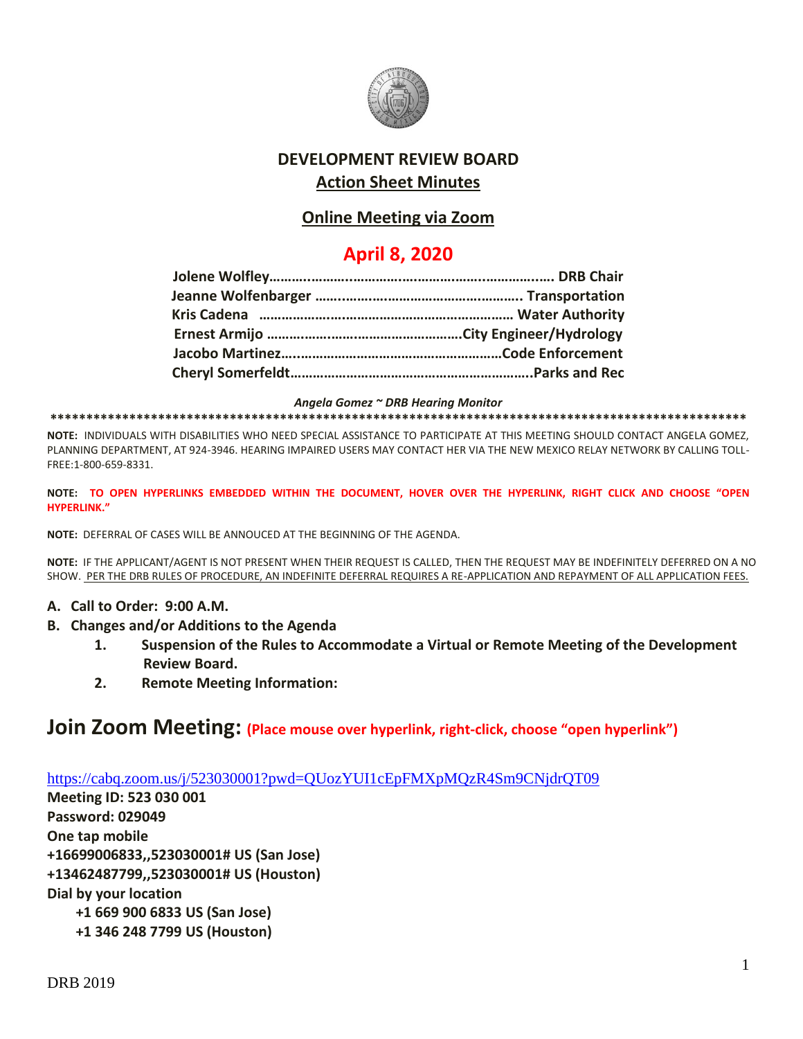

# **DEVELOPMENT REVIEW BOARD Action Sheet Minutes**

### **Online Meeting via Zoom**

# **April 8, 2020**

*Angela Gomez ~ DRB Hearing Monitor*

**\*\*\*\*\*\*\*\*\*\*\*\*\*\*\*\*\*\*\*\*\*\*\*\*\*\*\*\*\*\*\*\*\*\*\*\*\*\*\*\*\*\*\*\*\*\*\*\*\*\*\*\*\*\*\*\*\*\*\*\*\*\*\*\*\*\*\*\*\*\*\*\*\*\*\*\*\*\*\*\*\*\*\*\*\*\*\*\*\*\*\*\*\*\*\*\*\***

**NOTE:** INDIVIDUALS WITH DISABILITIES WHO NEED SPECIAL ASSISTANCE TO PARTICIPATE AT THIS MEETING SHOULD CONTACT ANGELA GOMEZ, PLANNING DEPARTMENT, AT 924-3946. HEARING IMPAIRED USERS MAY CONTACT HER VIA THE NEW MEXICO RELAY NETWORK BY CALLING TOLL-FREE:1-800-659-8331.

**NOTE: TO OPEN HYPERLINKS EMBEDDED WITHIN THE DOCUMENT, HOVER OVER THE HYPERLINK, RIGHT CLICK AND CHOOSE "OPEN HYPERLINK."**

**NOTE:** DEFERRAL OF CASES WILL BE ANNOUCED AT THE BEGINNING OF THE AGENDA.

**NOTE:** IF THE APPLICANT/AGENT IS NOT PRESENT WHEN THEIR REQUEST IS CALLED, THEN THE REQUEST MAY BE INDEFINITELY DEFERRED ON A NO SHOW. PER THE DRB RULES OF PROCEDURE, AN INDEFINITE DEFERRAL REQUIRES A RE-APPLICATION AND REPAYMENT OF ALL APPLICATION FEES.

- **A. Call to Order: 9:00 A.M.**
- **B. Changes and/or Additions to the Agenda**
	- **1. Suspension of the Rules to Accommodate a Virtual or Remote Meeting of the Development Review Board.**
	- **2. Remote Meeting Information:**

# **Join Zoom Meeting: (Place mouse over hyperlink, right-click, choose "open hyperlink")**

<https://cabq.zoom.us/j/523030001?pwd=QUozYUI1cEpFMXpMQzR4Sm9CNjdrQT09>

**Meeting ID: 523 030 001 Password: 029049 One tap mobile +16699006833,,523030001# US (San Jose) +13462487799,,523030001# US (Houston) Dial by your location +1 669 900 6833 US (San Jose) +1 346 248 7799 US (Houston)**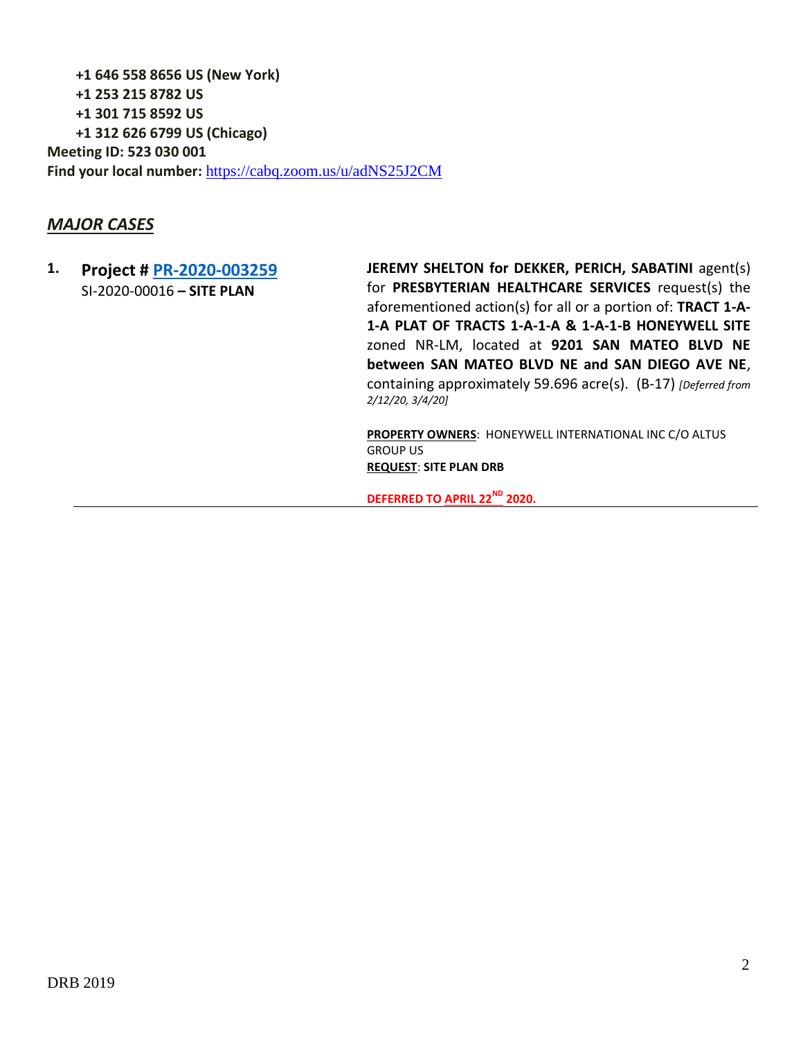**+1 646 558 8656 US (New York) +1 253 215 8782 US +1 301 715 8592 US +1 312 626 6799 US (Chicago) Meeting ID: 523 030 001 Find your local number:** <https://cabq.zoom.us/u/adNS25J2CM>

### *MAJOR CASES*

#### **1. Project # [PR-2020-003259](http://data.cabq.gov/government/planning/DRB/PR-2020-003259/DRB%20Submittals/PR-2020-003259_Feb_12_2020/Application/)** SI-2020-00016 **– SITE PLAN**

**JEREMY SHELTON for DEKKER, PERICH, SABATINI** agent(s) for **PRESBYTERIAN HEALTHCARE SERVICES** request(s) the aforementioned action(s) for all or a portion of: **TRACT 1-A-1-A PLAT OF TRACTS 1-A-1-A & 1-A-1-B HONEYWELL SITE** zoned NR-LM, located at **9201 SAN MATEO BLVD NE between SAN MATEO BLVD NE and SAN DIEGO AVE NE**, containing approximately 59.696 acre(s). (B-17) *[Deferred from 2/12/20, 3/4/20]*

**PROPERTY OWNERS**: HONEYWELL INTERNATIONAL INC C/O ALTUS GROUP US **REQUEST**: **SITE PLAN DRB**

**DEFERRED TO APRIL 22ND 2020.**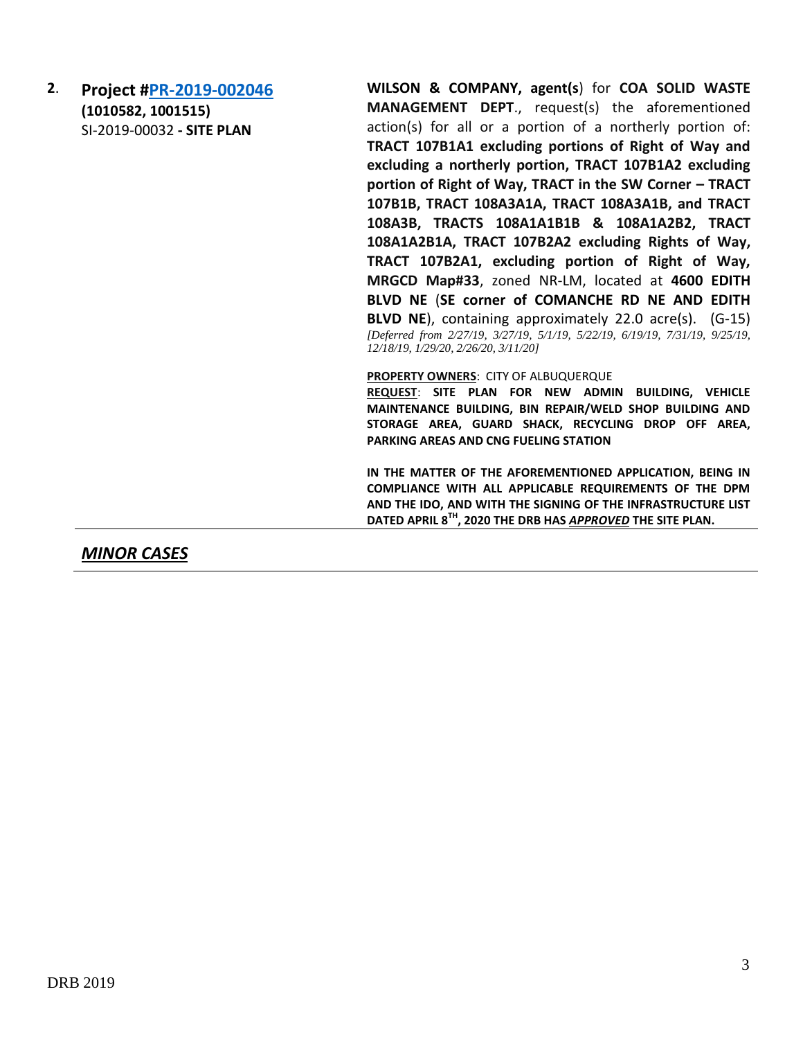**2**. **Project [#PR-2019-002046](http://data.cabq.gov/government/planning/DRB/PR-2019-002046/DRB%20Submittals/PR-2019-002046_Dec_18_Supplemental/) (1010582, 1001515)** SI-2019-00032 **- SITE PLAN** 

**WILSON & COMPANY, agent(s**) for **COA SOLID WASTE MANAGEMENT DEPT**., request(s) the aforementioned action(s) for all or a portion of a northerly portion of: **TRACT 107B1A1 excluding portions of Right of Way and excluding a northerly portion, TRACT 107B1A2 excluding portion of Right of Way, TRACT in the SW Corner – TRACT 107B1B, TRACT 108A3A1A, TRACT 108A3A1B, and TRACT 108A3B, TRACTS 108A1A1B1B & 108A1A2B2, TRACT 108A1A2B1A, TRACT 107B2A2 excluding Rights of Way, TRACT 107B2A1, excluding portion of Right of Way, MRGCD Map#33**, zoned NR-LM, located at **4600 EDITH BLVD NE** (**SE corner of COMANCHE RD NE AND EDITH BLVD NE**), containing approximately 22.0 acre(s). (G-15) *[Deferred from 2/27/19, 3/27/19, 5/1/19, 5/22/19, 6/19/19, 7/31/19, 9/25/19, 12/18/19, 1/29/20, 2/26/20, 3/11/20]*

**PROPERTY OWNERS**: CITY OF ALBUQUERQUE

**REQUEST**: **SITE PLAN FOR NEW ADMIN BUILDING, VEHICLE MAINTENANCE BUILDING, BIN REPAIR/WELD SHOP BUILDING AND STORAGE AREA, GUARD SHACK, RECYCLING DROP OFF AREA, PARKING AREAS AND CNG FUELING STATION**

**IN THE MATTER OF THE AFOREMENTIONED APPLICATION, BEING IN COMPLIANCE WITH ALL APPLICABLE REQUIREMENTS OF THE DPM AND THE IDO, AND WITH THE SIGNING OF THE INFRASTRUCTURE LIST DATED APRIL 8TH, 2020 THE DRB HAS** *APPROVED* **THE SITE PLAN.**

*MINOR CASES*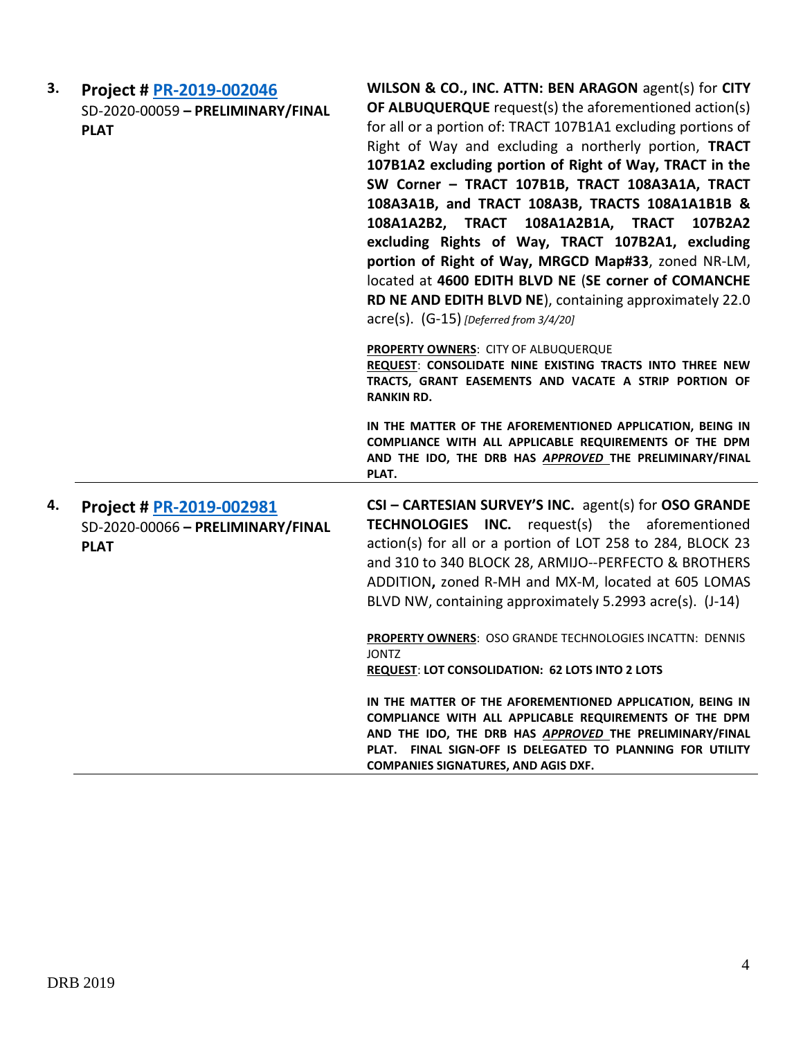| 3. | Project # PR-2019-002046<br>SD-2020-00059 - PRELIMINARY/FINAL<br><b>PLAT</b> | WILSON & CO., INC. ATTN: BEN ARAGON agent(s) for CITY<br>OF ALBUQUERQUE request(s) the aforementioned action(s)<br>for all or a portion of: TRACT 107B1A1 excluding portions of<br>Right of Way and excluding a northerly portion, TRACT<br>107B1A2 excluding portion of Right of Way, TRACT in the<br>SW Corner - TRACT 107B1B, TRACT 108A3A1A, TRACT<br>108A3A1B, and TRACT 108A3B, TRACTS 108A1A1B1B &<br>108A1A2B2, TRACT<br>108A1A2B1A, TRACT<br>107B2A2<br>excluding Rights of Way, TRACT 107B2A1, excluding<br>portion of Right of Way, MRGCD Map#33, zoned NR-LM,<br>located at 4600 EDITH BLVD NE (SE corner of COMANCHE<br>RD NE AND EDITH BLVD NE), containing approximately 22.0<br>$acre(s)$ . $(G-15)$ [Deferred from 3/4/20] |
|----|------------------------------------------------------------------------------|---------------------------------------------------------------------------------------------------------------------------------------------------------------------------------------------------------------------------------------------------------------------------------------------------------------------------------------------------------------------------------------------------------------------------------------------------------------------------------------------------------------------------------------------------------------------------------------------------------------------------------------------------------------------------------------------------------------------------------------------|
|    |                                                                              | PROPERTY OWNERS: CITY OF ALBUQUERQUE<br>REQUEST: CONSOLIDATE NINE EXISTING TRACTS INTO THREE NEW<br>TRACTS, GRANT EASEMENTS AND VACATE A STRIP PORTION OF<br><b>RANKIN RD.</b>                                                                                                                                                                                                                                                                                                                                                                                                                                                                                                                                                              |
|    |                                                                              | IN THE MATTER OF THE AFOREMENTIONED APPLICATION, BEING IN<br>COMPLIANCE WITH ALL APPLICABLE REQUIREMENTS OF THE DPM<br>AND THE IDO, THE DRB HAS APPROVED THE PRELIMINARY/FINAL<br>PLAT.                                                                                                                                                                                                                                                                                                                                                                                                                                                                                                                                                     |
| 4. | Project # PR-2019-002981<br>SD-2020-00066 - PRELIMINARY/FINAL<br><b>PLAT</b> | CSI - CARTESIAN SURVEY'S INC. agent(s) for OSO GRANDE<br><b>TECHNOLOGIES INC.</b> request(s) the aforementioned<br>action(s) for all or a portion of LOT 258 to 284, BLOCK 23<br>and 310 to 340 BLOCK 28, ARMIJO--PERFECTO & BROTHERS<br>ADDITION, zoned R-MH and MX-M, located at 605 LOMAS<br>BLVD NW, containing approximately 5.2993 acre(s). (J-14)<br><b>PROPERTY OWNERS: OSO GRANDE TECHNOLOGIES INCATTN: DENNIS</b><br><b>JONTZ</b><br><b>REQUEST: LOT CONSOLIDATION: 62 LOTS INTO 2 LOTS</b>                                                                                                                                                                                                                                       |
|    |                                                                              | IN THE MATTER OF THE AFOREMENTIONED APPLICATION, BEING IN<br>COMPLIANCE WITH ALL APPLICABLE REQUIREMENTS OF THE DPM<br>AND THE IDO, THE DRB HAS APPROVED THE PRELIMINARY/FINAL<br>PLAT. FINAL SIGN-OFF IS DELEGATED TO PLANNING FOR UTILITY<br><b>COMPANIES SIGNATURES, AND AGIS DXF.</b>                                                                                                                                                                                                                                                                                                                                                                                                                                                   |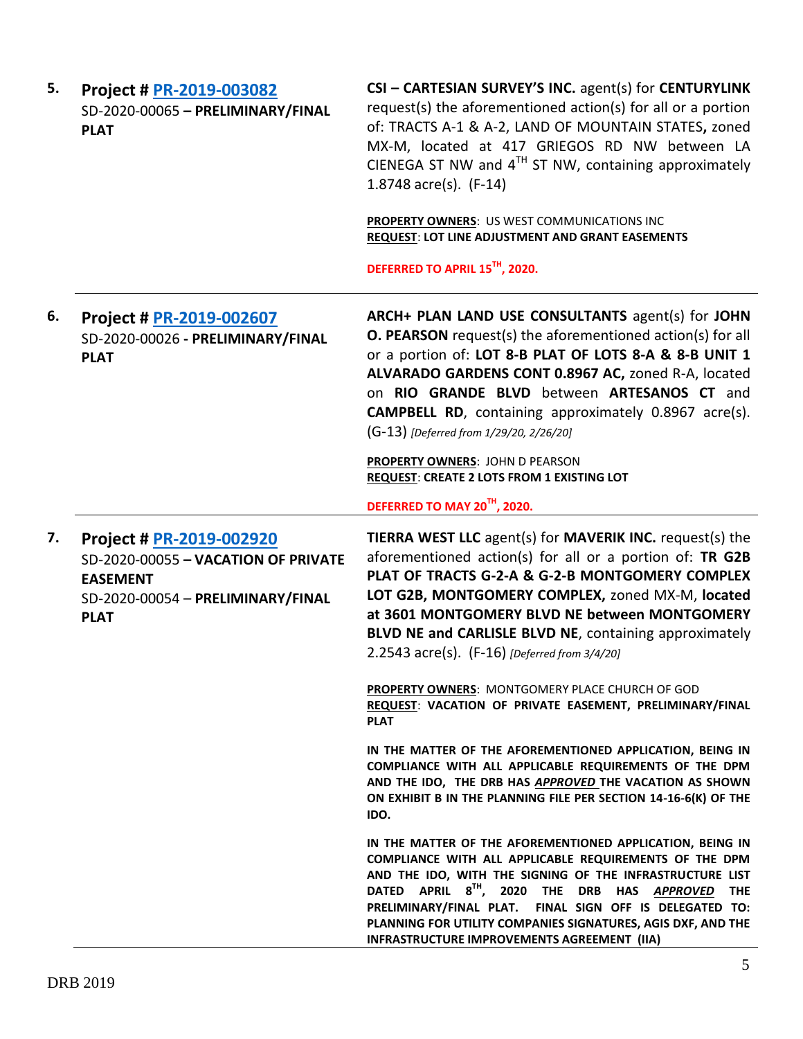| 5. | Project # PR-2019-003082<br>SD-2020-00065 - PRELIMINARY/FINAL<br><b>PLAT</b>                                                           | CSI - CARTESIAN SURVEY'S INC. agent(s) for CENTURYLINK<br>request(s) the aforementioned action(s) for all or a portion<br>of: TRACTS A-1 & A-2, LAND OF MOUNTAIN STATES, zoned<br>MX-M, located at 417 GRIEGOS RD NW between LA<br>CIENEGA ST NW and $4^{TH}$ ST NW, containing approximately<br>1.8748 $\arccos 1.8748$                                                                                                    |
|----|----------------------------------------------------------------------------------------------------------------------------------------|-----------------------------------------------------------------------------------------------------------------------------------------------------------------------------------------------------------------------------------------------------------------------------------------------------------------------------------------------------------------------------------------------------------------------------|
|    |                                                                                                                                        | PROPERTY OWNERS: US WEST COMMUNICATIONS INC<br>REQUEST: LOT LINE ADJUSTMENT AND GRANT EASEMENTS<br>DEFERRED TO APRIL 15TH, 2020.                                                                                                                                                                                                                                                                                            |
| 6. | Project # PR-2019-002607<br>SD-2020-00026 - PRELIMINARY/FINAL<br><b>PLAT</b>                                                           | ARCH+ PLAN LAND USE CONSULTANTS agent(s) for JOHN<br><b>O. PEARSON</b> request(s) the aforementioned action(s) for all<br>or a portion of: LOT 8-B PLAT OF LOTS 8-A & 8-B UNIT 1<br>ALVARADO GARDENS CONT 0.8967 AC, zoned R-A, located<br>on RIO GRANDE BLVD between ARTESANOS CT and<br><b>CAMPBELL RD</b> , containing approximately 0.8967 acre(s).<br>(G-13) [Deferred from 1/29/20, 2/26/20]                          |
|    |                                                                                                                                        | PROPERTY OWNERS: JOHN D PEARSON<br><b>REQUEST: CREATE 2 LOTS FROM 1 EXISTING LOT</b>                                                                                                                                                                                                                                                                                                                                        |
|    |                                                                                                                                        | DEFERRED TO MAY 20 <sup>TH</sup> , 2020.                                                                                                                                                                                                                                                                                                                                                                                    |
| 7. | Project # PR-2019-002920<br>SD-2020-00055 - VACATION OF PRIVATE<br><b>EASEMENT</b><br>SD-2020-00054 - PRELIMINARY/FINAL<br><b>PLAT</b> | <b>TIERRA WEST LLC</b> agent(s) for <b>MAVERIK INC.</b> request(s) the<br>aforementioned action(s) for all or a portion of: TR G2B<br>PLAT OF TRACTS G-2-A & G-2-B MONTGOMERY COMPLEX<br>LOT G2B, MONTGOMERY COMPLEX, zoned MX-M, located<br>at 3601 MONTGOMERY BLVD NE between MONTGOMERY<br>BLVD NE and CARLISLE BLVD NE, containing approximately<br>2.2543 acre(s). (F-16) [Deferred from 3/4/20]                       |
|    |                                                                                                                                        | <b>PROPERTY OWNERS: MONTGOMERY PLACE CHURCH OF GOD</b><br>REQUEST: VACATION OF PRIVATE EASEMENT, PRELIMINARY/FINAL<br><b>PLAT</b>                                                                                                                                                                                                                                                                                           |
|    |                                                                                                                                        | IN THE MATTER OF THE AFOREMENTIONED APPLICATION, BEING IN<br>COMPLIANCE WITH ALL APPLICABLE REQUIREMENTS OF THE DPM<br>AND THE IDO, THE DRB HAS APPROVED THE VACATION AS SHOWN<br>ON EXHIBIT B IN THE PLANNING FILE PER SECTION 14-16-6(K) OF THE<br>IDO.                                                                                                                                                                   |
|    |                                                                                                                                        | IN THE MATTER OF THE AFOREMENTIONED APPLICATION, BEING IN<br>COMPLIANCE WITH ALL APPLICABLE REQUIREMENTS OF THE DPM<br>AND THE IDO, WITH THE SIGNING OF THE INFRASTRUCTURE LIST<br>DATED APRIL 8 <sup>TH</sup> , 2020 THE DRB HAS APPROVED THE<br>PRELIMINARY/FINAL PLAT.<br>FINAL SIGN OFF IS DELEGATED TO:<br>PLANNING FOR UTILITY COMPANIES SIGNATURES, AGIS DXF, AND THE<br>INFRASTRUCTURE IMPROVEMENTS AGREEMENT (IIA) |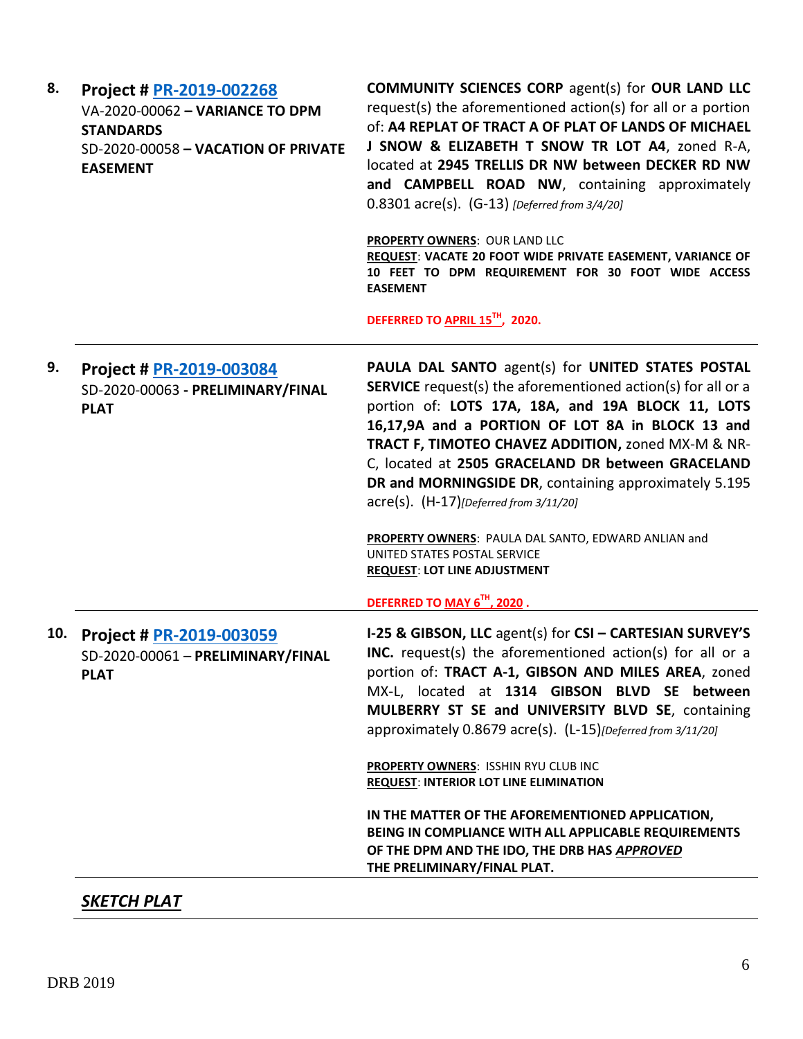| 8.  | Project # PR-2019-002268<br>VA-2020-00062 - VARIANCE TO DPM<br><b>STANDARDS</b><br>SD-2020-00058 - VACATION OF PRIVATE<br><b>EASEMENT</b> | <b>COMMUNITY SCIENCES CORP agent(s) for OUR LAND LLC</b><br>request(s) the aforementioned action(s) for all or a portion<br>of: A4 REPLAT OF TRACT A OF PLAT OF LANDS OF MICHAEL<br>J SNOW & ELIZABETH T SNOW TR LOT A4, zoned R-A,<br>located at 2945 TRELLIS DR NW between DECKER RD NW<br>and CAMPBELL ROAD NW, containing approximately<br>$0.8301$ acre(s). (G-13) [Deferred from 3/4/20]<br><b>PROPERTY OWNERS: OUR LAND LLC</b><br>REQUEST: VACATE 20 FOOT WIDE PRIVATE EASEMENT, VARIANCE OF<br>10 FEET TO DPM REQUIREMENT FOR 30 FOOT WIDE ACCESS<br><b>EASEMENT</b><br>DEFERRED TO APRIL 15 <sup>TH</sup> , 2020.           |
|-----|-------------------------------------------------------------------------------------------------------------------------------------------|---------------------------------------------------------------------------------------------------------------------------------------------------------------------------------------------------------------------------------------------------------------------------------------------------------------------------------------------------------------------------------------------------------------------------------------------------------------------------------------------------------------------------------------------------------------------------------------------------------------------------------------|
| 9.  | Project # PR-2019-003084<br>SD-2020-00063 - PRELIMINARY/FINAL<br><b>PLAT</b>                                                              | PAULA DAL SANTO agent(s) for UNITED STATES POSTAL<br><b>SERVICE</b> request(s) the aforementioned action(s) for all or a<br>portion of: LOTS 17A, 18A, and 19A BLOCK 11, LOTS<br>16,17,9A and a PORTION OF LOT 8A in BLOCK 13 and<br>TRACT F, TIMOTEO CHAVEZ ADDITION, zoned MX-M & NR-<br>C, located at 2505 GRACELAND DR between GRACELAND<br>DR and MORNINGSIDE DR, containing approximately 5.195<br>$\text{acre}(s)$ . $(H-17)$ [Deferred from 3/11/20]<br>PROPERTY OWNERS: PAULA DAL SANTO, EDWARD ANLIAN and<br>UNITED STATES POSTAL SERVICE<br><b>REQUEST: LOT LINE ADJUSTMENT</b><br>DEFERRED TO MAY 6 <sup>TH</sup> , 2020. |
| 10. | Project # PR-2019-003059<br>SD-2020-00061 - PRELIMINARY/FINAL<br><b>PLAT</b>                                                              | I-25 & GIBSON, LLC agent(s) for CSI - CARTESIAN SURVEY'S<br>INC. request(s) the aforementioned action(s) for all or a<br>portion of: TRACT A-1, GIBSON AND MILES AREA, zoned<br>MX-L, located at 1314 GIBSON BLVD SE between<br>MULBERRY ST SE and UNIVERSITY BLVD SE, containing<br>approximately 0.8679 acre(s). (L-15) [Deferred from 3/11/20]<br>PROPERTY OWNERS: ISSHIN RYU CLUB INC<br><b>REQUEST: INTERIOR LOT LINE ELIMINATION</b><br>IN THE MATTER OF THE AFOREMENTIONED APPLICATION,<br>BEING IN COMPLIANCE WITH ALL APPLICABLE REQUIREMENTS<br>OF THE DPM AND THE IDO, THE DRB HAS APPROVED<br>THE PRELIMINARY/FINAL PLAT. |

*SKETCH PLAT*